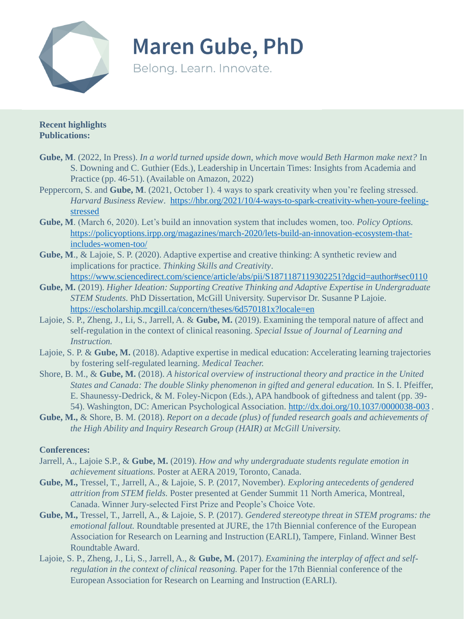

**Maren Gube, PhD** 

Belong. Learn. Innovate.

**Recent highlights Publications:** 

- **Gube, M**. (2022, In Press). *In a world turned upside down, which move would Beth Harmon make next?* In S. Downing and C. Guthier (Eds.), Leadership in Uncertain Times: Insights from Academia and Practice (pp. 46-51). (Available on Amazon, 2022)
- Peppercorn, S. and **Gube, M**. (2021, October 1). 4 ways to spark creativity when you're feeling stressed. *Harvard Business Review*[. https://hbr.org/2021/10/4-ways-to-spark-creativity-when-youre-feeling](https://hbr.org/2021/10/4-ways-to-spark-creativity-when-youre-feeling-stressed)stressed
- **Gube, M**. (March 6, 2020). Let's build an innovation system that includes women, too. *Policy Options.* [https://policyoptions.irpp.org/magazines/march-2020/lets-build-an-innovation-ecosystem-that](https://policyoptions.irpp.org/magazines/march-2020/lets-build-an-innovation-ecosystem-that-includes-women-too/)includes-women-too/
- **Gube, M**., & Lajoie, S. P. (2020). Adaptive expertise and creative thinking: A synthetic review and implications for practice. *Thinking Skills and Creativity*. <https://www.sciencedirect.com/science/article/abs/pii/S1871187119302251?dgcid=author#sec0110>
- **Gube, M.** (2019). *Higher Ideation: Supporting Creative Thinking and Adaptive Expertise in Undergraduate STEM Students.* PhD Dissertation, McGill University. Supervisor Dr. Susanne P Lajoie. <https://escholarship.mcgill.ca/concern/theses/6d570181x?locale=en>
- Lajoie, S. P., Zheng, J., Li, S., Jarrell, A. & **Gube, M.** (2019). Examining the temporal nature of affect and self-regulation in the context of clinical reasoning. *Special Issue of Journal of Learning and Instruction.*
- Lajoie, S. P. & **Gube, M.** (2018). Adaptive expertise in medical education: Accelerating learning trajectories by fostering self-regulated learning. *Medical Teacher.*
- Shore, B. M., & **Gube, M.** (2018). *A historical overview of instructional theory and practice in the United States and Canada: The double Slinky phenomenon in gifted and general education.* In S. I. Pfeiffer, E. Shaunessy-Dedrick, & M. Foley-Nicpon (Eds.), APA handbook of giftedness and talent (pp. 39- 54). Washington, DC: American Psychological Association. <http://dx.doi.org/10.1037/0000038-003> .
- **Gube, M.,** & Shore, B. M. (2018). *Report on a decade (plus) of funded research goals and achievements of the High Ability and Inquiry Research Group (HAIR) at McGill University.*

## **Conferences:**

- Jarrell, A., Lajoie S.P., & **Gube, M.** (2019). *How and why undergraduate students regulate emotion in achievement situations.* Poster at AERA 2019, Toronto, Canada.
- **Gube, M.,** Tressel, T., Jarrell, A., & Lajoie, S. P. (2017, November). *Exploring antecedents of gendered attrition from STEM fields.* Poster presented at Gender Summit 11 North America, Montreal, Canada. Winner Jury-selected First Prize and People's Choice Vote.
- **Gube, M.,** Tressel, T., Jarrell, A., & Lajoie, S. P. (2017). *Gendered stereotype threat in STEM programs: the emotional fallout.* Roundtable presented at JURE, the 17th Biennial conference of the European Association for Research on Learning and Instruction (EARLI), Tampere, Finland. Winner Best Roundtable Award.
- Lajoie, S. P., Zheng, J., Li, S., Jarrell, A., & **Gube, M.** (2017). *Examining the interplay of affect and selfregulation in the context of clinical reasoning.* Paper for the 17th Biennial conference of the European Association for Research on Learning and Instruction (EARLI).